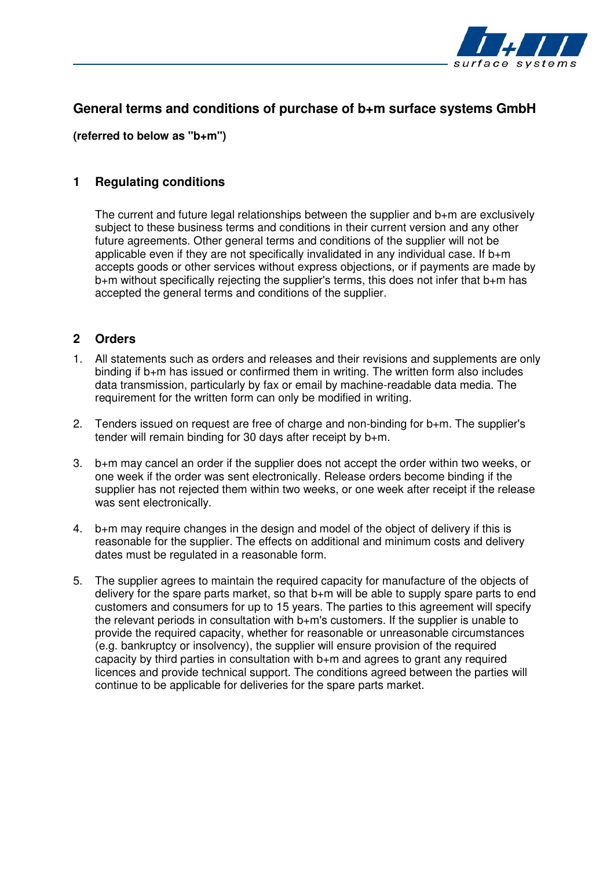

# **General terms and conditions of purchase of b+m surface systems GmbH**

**(referred to below as "b+m")** 

### **1 Regulating conditions**

The current and future legal relationships between the supplier and b+m are exclusively subject to these business terms and conditions in their current version and any other future agreements. Other general terms and conditions of the supplier will not be applicable even if they are not specifically invalidated in any individual case. If b+m accepts goods or other services without express objections, or if payments are made by b+m without specifically rejecting the supplier's terms, this does not infer that b+m has accepted the general terms and conditions of the supplier.

### **2 Orders**

- 1. All statements such as orders and releases and their revisions and supplements are only binding if b+m has issued or confirmed them in writing. The written form also includes data transmission, particularly by fax or email by machine-readable data media. The requirement for the written form can only be modified in writing.
- 2. Tenders issued on request are free of charge and non-binding for b+m. The supplier's tender will remain binding for 30 days after receipt by b+m.
- 3. b+m may cancel an order if the supplier does not accept the order within two weeks, or one week if the order was sent electronically. Release orders become binding if the supplier has not rejected them within two weeks, or one week after receipt if the release was sent electronically.
- 4. b+m may require changes in the design and model of the object of delivery if this is reasonable for the supplier. The effects on additional and minimum costs and delivery dates must be regulated in a reasonable form.
- 5. The supplier agrees to maintain the required capacity for manufacture of the objects of delivery for the spare parts market, so that b+m will be able to supply spare parts to end customers and consumers for up to 15 years. The parties to this agreement will specify the relevant periods in consultation with b+m's customers. If the supplier is unable to provide the required capacity, whether for reasonable or unreasonable circumstances (e.g. bankruptcy or insolvency), the supplier will ensure provision of the required capacity by third parties in consultation with b+m and agrees to grant any required licences and provide technical support. The conditions agreed between the parties will continue to be applicable for deliveries for the spare parts market.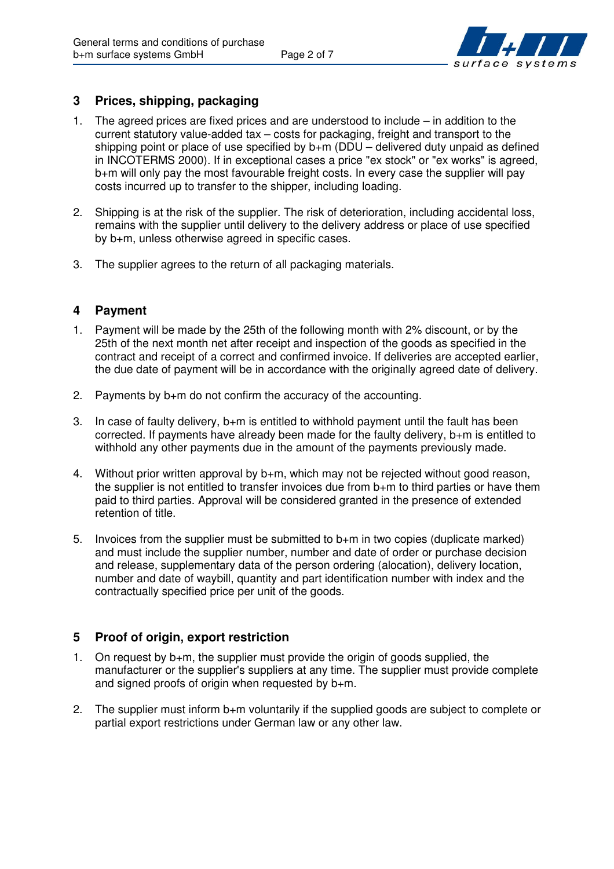

### **3 Prices, shipping, packaging**

- 1. The agreed prices are fixed prices and are understood to include in addition to the current statutory value-added tax – costs for packaging, freight and transport to the shipping point or place of use specified by  $b+m$  (DDU – delivered duty unpaid as defined in INCOTERMS 2000). If in exceptional cases a price "ex stock" or "ex works" is agreed, b+m will only pay the most favourable freight costs. In every case the supplier will pay costs incurred up to transfer to the shipper, including loading.
- 2. Shipping is at the risk of the supplier. The risk of deterioration, including accidental loss, remains with the supplier until delivery to the delivery address or place of use specified by b+m, unless otherwise agreed in specific cases.
- 3. The supplier agrees to the return of all packaging materials.

### **4 Payment**

- 1. Payment will be made by the 25th of the following month with 2% discount, or by the 25th of the next month net after receipt and inspection of the goods as specified in the contract and receipt of a correct and confirmed invoice. If deliveries are accepted earlier, the due date of payment will be in accordance with the originally agreed date of delivery.
- 2. Payments by b+m do not confirm the accuracy of the accounting.
- 3. In case of faulty delivery, b+m is entitled to withhold payment until the fault has been corrected. If payments have already been made for the faulty delivery, b+m is entitled to withhold any other payments due in the amount of the payments previously made.
- 4. Without prior written approval by b+m, which may not be rejected without good reason, the supplier is not entitled to transfer invoices due from b+m to third parties or have them paid to third parties. Approval will be considered granted in the presence of extended retention of title.
- 5. Invoices from the supplier must be submitted to b+m in two copies (duplicate marked) and must include the supplier number, number and date of order or purchase decision and release, supplementary data of the person ordering (alocation), delivery location, number and date of waybill, quantity and part identification number with index and the contractually specified price per unit of the goods.

## **5 Proof of origin, export restriction**

- 1. On request by b+m, the supplier must provide the origin of goods supplied, the manufacturer or the supplier's suppliers at any time. The supplier must provide complete and signed proofs of origin when requested by  $b+m$ .
- 2. The supplier must inform b+m voluntarily if the supplied goods are subject to complete or partial export restrictions under German law or any other law.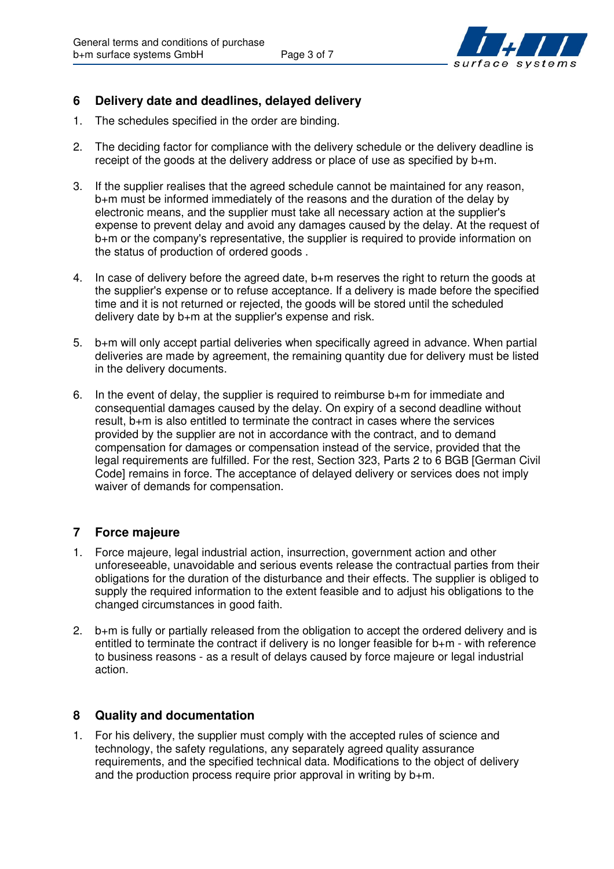

### **6 Delivery date and deadlines, delayed delivery**

- 1. The schedules specified in the order are binding.
- 2. The deciding factor for compliance with the delivery schedule or the delivery deadline is receipt of the goods at the delivery address or place of use as specified by b+m.
- 3. If the supplier realises that the agreed schedule cannot be maintained for any reason, b+m must be informed immediately of the reasons and the duration of the delay by electronic means, and the supplier must take all necessary action at the supplier's expense to prevent delay and avoid any damages caused by the delay. At the request of b+m or the company's representative, the supplier is required to provide information on the status of production of ordered goods .
- 4. In case of delivery before the agreed date, b+m reserves the right to return the goods at the supplier's expense or to refuse acceptance. If a delivery is made before the specified time and it is not returned or rejected, the goods will be stored until the scheduled delivery date by b+m at the supplier's expense and risk.
- 5. b+m will only accept partial deliveries when specifically agreed in advance. When partial deliveries are made by agreement, the remaining quantity due for delivery must be listed in the delivery documents.
- 6. In the event of delay, the supplier is required to reimburse b+m for immediate and consequential damages caused by the delay. On expiry of a second deadline without result, b+m is also entitled to terminate the contract in cases where the services provided by the supplier are not in accordance with the contract, and to demand compensation for damages or compensation instead of the service, provided that the legal requirements are fulfilled. For the rest, Section 323, Parts 2 to 6 BGB [German Civil Code] remains in force. The acceptance of delayed delivery or services does not imply waiver of demands for compensation.

### **7 Force majeure**

- 1. Force majeure, legal industrial action, insurrection, government action and other unforeseeable, unavoidable and serious events release the contractual parties from their obligations for the duration of the disturbance and their effects. The supplier is obliged to supply the required information to the extent feasible and to adjust his obligations to the changed circumstances in good faith.
- 2. b+m is fully or partially released from the obligation to accept the ordered delivery and is entitled to terminate the contract if delivery is no longer feasible for b+m - with reference to business reasons - as a result of delays caused by force majeure or legal industrial action.

### **8 Quality and documentation**

1. For his delivery, the supplier must comply with the accepted rules of science and technology, the safety regulations, any separately agreed quality assurance requirements, and the specified technical data. Modifications to the object of delivery and the production process require prior approval in writing by b+m.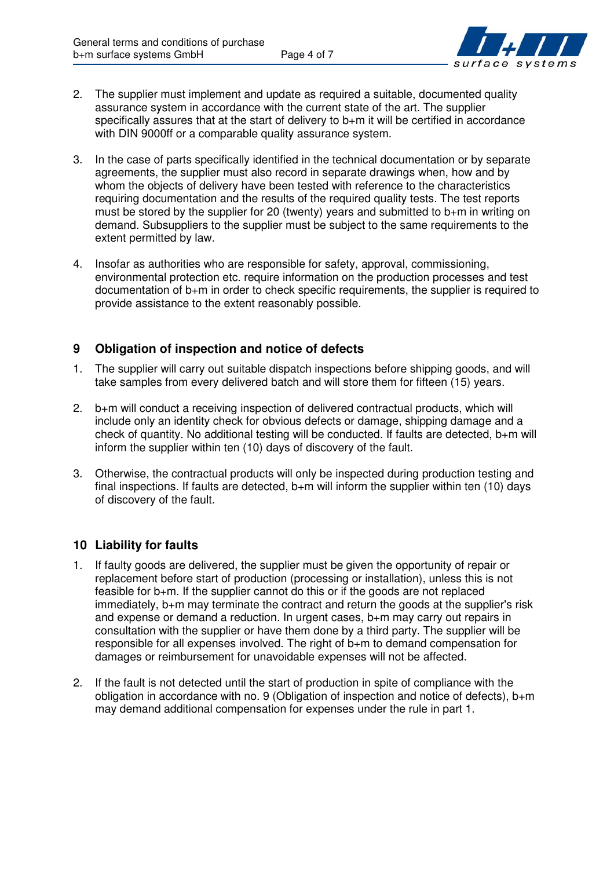

- 2. The supplier must implement and update as required a suitable, documented quality assurance system in accordance with the current state of the art. The supplier specifically assures that at the start of delivery to b+m it will be certified in accordance with DIN 9000ff or a comparable quality assurance system.
- 3. In the case of parts specifically identified in the technical documentation or by separate agreements, the supplier must also record in separate drawings when, how and by whom the objects of delivery have been tested with reference to the characteristics requiring documentation and the results of the required quality tests. The test reports must be stored by the supplier for 20 (twenty) years and submitted to b+m in writing on demand. Subsuppliers to the supplier must be subject to the same requirements to the extent permitted by law.
- 4. Insofar as authorities who are responsible for safety, approval, commissioning, environmental protection etc. require information on the production processes and test documentation of b+m in order to check specific requirements, the supplier is required to provide assistance to the extent reasonably possible.

## **9 Obligation of inspection and notice of defects**

- 1. The supplier will carry out suitable dispatch inspections before shipping goods, and will take samples from every delivered batch and will store them for fifteen (15) years.
- 2. b+m will conduct a receiving inspection of delivered contractual products, which will include only an identity check for obvious defects or damage, shipping damage and a check of quantity. No additional testing will be conducted. If faults are detected, b+m will inform the supplier within ten (10) days of discovery of the fault.
- 3. Otherwise, the contractual products will only be inspected during production testing and final inspections. If faults are detected,  $b+m$  will inform the supplier within ten (10) days of discovery of the fault.

## **10 Liability for faults**

- 1. If faulty goods are delivered, the supplier must be given the opportunity of repair or replacement before start of production (processing or installation), unless this is not feasible for b+m. If the supplier cannot do this or if the goods are not replaced immediately, b+m may terminate the contract and return the goods at the supplier's risk and expense or demand a reduction. In urgent cases, b+m may carry out repairs in consultation with the supplier or have them done by a third party. The supplier will be responsible for all expenses involved. The right of b+m to demand compensation for damages or reimbursement for unavoidable expenses will not be affected.
- 2. If the fault is not detected until the start of production in spite of compliance with the obligation in accordance with no. 9 (Obligation of inspection and notice of defects), b+m may demand additional compensation for expenses under the rule in part 1.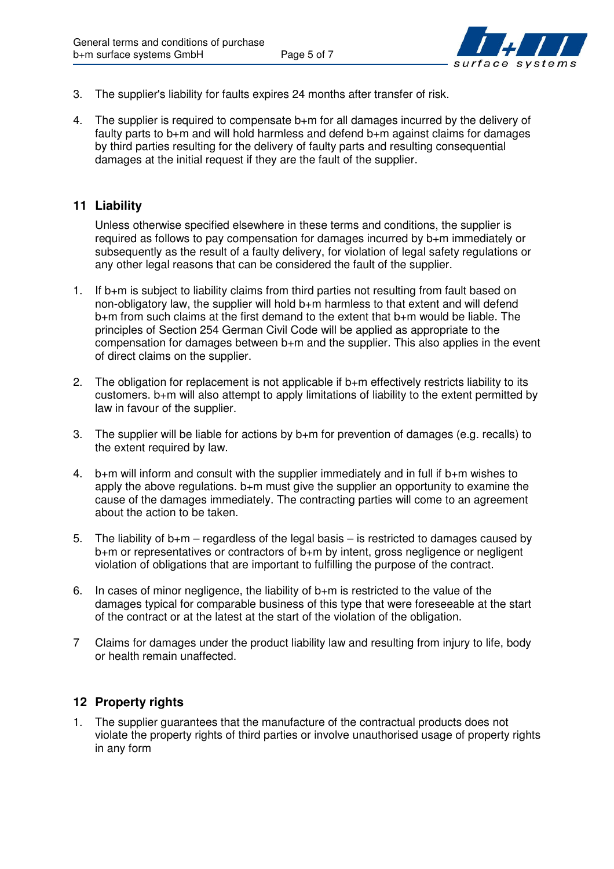

- 3. The supplier's liability for faults expires 24 months after transfer of risk.
- 4. The supplier is required to compensate b+m for all damages incurred by the delivery of faulty parts to b+m and will hold harmless and defend b+m against claims for damages by third parties resulting for the delivery of faulty parts and resulting consequential damages at the initial request if they are the fault of the supplier.

### **11 Liability**

Unless otherwise specified elsewhere in these terms and conditions, the supplier is required as follows to pay compensation for damages incurred by b+m immediately or subsequently as the result of a faulty delivery, for violation of legal safety regulations or any other legal reasons that can be considered the fault of the supplier.

- 1. If b+m is subject to liability claims from third parties not resulting from fault based on non-obligatory law, the supplier will hold b+m harmless to that extent and will defend b+m from such claims at the first demand to the extent that b+m would be liable. The principles of Section 254 German Civil Code will be applied as appropriate to the compensation for damages between b+m and the supplier. This also applies in the event of direct claims on the supplier.
- 2. The obligation for replacement is not applicable if b+m effectively restricts liability to its customers. b+m will also attempt to apply limitations of liability to the extent permitted by law in favour of the supplier.
- 3. The supplier will be liable for actions by b+m for prevention of damages (e.g. recalls) to the extent required by law.
- 4. b+m will inform and consult with the supplier immediately and in full if b+m wishes to apply the above regulations. b+m must give the supplier an opportunity to examine the cause of the damages immediately. The contracting parties will come to an agreement about the action to be taken.
- 5. The liability of  $b+m$  regardless of the legal basis is restricted to damages caused by b+m or representatives or contractors of b+m by intent, gross negligence or negligent violation of obligations that are important to fulfilling the purpose of the contract.
- 6. In cases of minor negligence, the liability of b+m is restricted to the value of the damages typical for comparable business of this type that were foreseeable at the start of the contract or at the latest at the start of the violation of the obligation.
- 7 Claims for damages under the product liability law and resulting from injury to life, body or health remain unaffected.

#### **12 Property rights**

1. The supplier guarantees that the manufacture of the contractual products does not violate the property rights of third parties or involve unauthorised usage of property rights in any form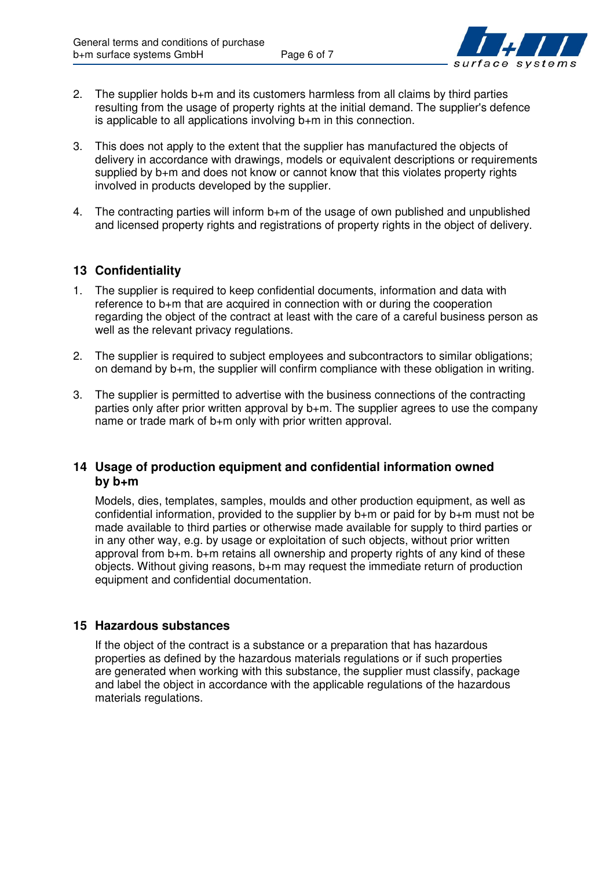

- 2. The supplier holds b+m and its customers harmless from all claims by third parties resulting from the usage of property rights at the initial demand. The supplier's defence is applicable to all applications involving b+m in this connection.
- 3. This does not apply to the extent that the supplier has manufactured the objects of delivery in accordance with drawings, models or equivalent descriptions or requirements supplied by b+m and does not know or cannot know that this violates property rights involved in products developed by the supplier.
- 4. The contracting parties will inform b+m of the usage of own published and unpublished and licensed property rights and registrations of property rights in the object of delivery.

### **13 Confidentiality**

- 1. The supplier is required to keep confidential documents, information and data with reference to b+m that are acquired in connection with or during the cooperation regarding the object of the contract at least with the care of a careful business person as well as the relevant privacy regulations.
- 2. The supplier is required to subject employees and subcontractors to similar obligations; on demand by b+m, the supplier will confirm compliance with these obligation in writing.
- 3. The supplier is permitted to advertise with the business connections of the contracting parties only after prior written approval by b+m. The supplier agrees to use the company name or trade mark of b+m only with prior written approval.

### **14 Usage of production equipment and confidential information owned by b+m**

Models, dies, templates, samples, moulds and other production equipment, as well as confidential information, provided to the supplier by b+m or paid for by b+m must not be made available to third parties or otherwise made available for supply to third parties or in any other way, e.g. by usage or exploitation of such objects, without prior written approval from b+m. b+m retains all ownership and property rights of any kind of these objects. Without giving reasons, b+m may request the immediate return of production equipment and confidential documentation.

### **15 Hazardous substances**

If the object of the contract is a substance or a preparation that has hazardous properties as defined by the hazardous materials regulations or if such properties are generated when working with this substance, the supplier must classify, package and label the object in accordance with the applicable regulations of the hazardous materials regulations.